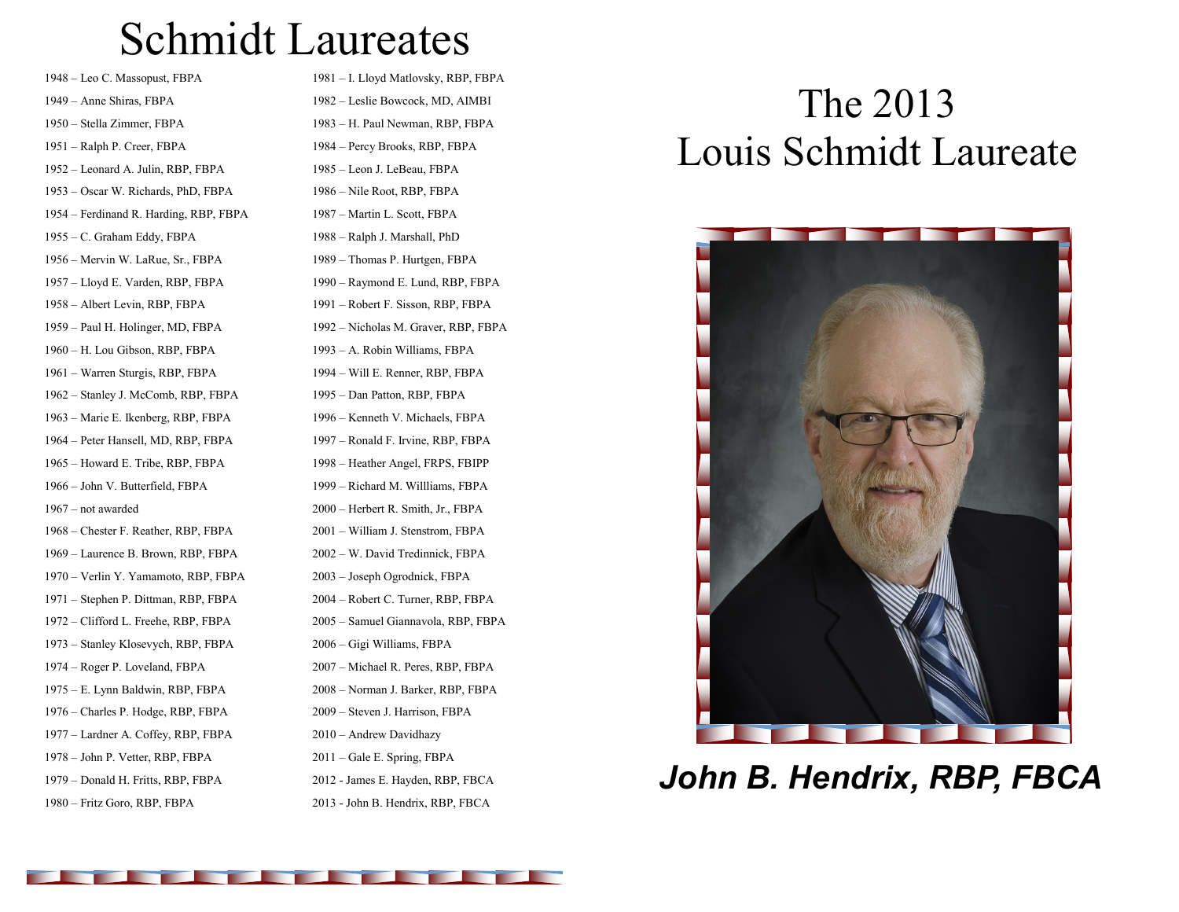## Schmidt Laureates

– Leo C. Massopust, FBPA – Anne Shiras, FBPA – Stella Zimmer, FBPA – Ralph P. Creer, FBPA – Leonard A. Julin, RBP, FBPA – Oscar W. Richards, PhD, FBPA – Ferdinand R. Harding, RBP, FBPA – C. Graham Eddy, FBPA – Mervin W. LaRue, Sr., FBPA – Lloyd E. Varden, RBP, FBPA – Albert Levin, RBP, FBPA – Paul H. Holinger, MD, FBPA – H. Lou Gibson, RBP, FBPA – Warren Sturgis, RBP, FBPA – Stanley J. McComb, RBP, FBPA – Marie E. Ikenberg, RBP, FBPA – Peter Hansell, MD, RBP, FBPA – Howard E. Tribe, RBP, FBPA – John V. Butterfield, FBPA – not awarded – Chester F. Reather, RBP, FBPA – Laurence B. Brown, RBP, FBPA – Verlin Y. Yamamoto, RBP, FBPA – Stephen P. Dittman, RBP, FBPA – Clifford L. Freehe, RBP, FBPA – Stanley Klosevych, RBP, FBPA – Roger P. Loveland, FBPA – E. Lynn Baldwin, RBP, FBPA – Charles P. Hodge, RBP, FBPA – Lardner A. Coffey, RBP, FBPA – John P. Vetter, RBP, FBPA – Donald H. Fritts, RBP, FBPA

– Fritz Goro, RBP, FBPA

– I. Lloyd Matlovsky, RBP, FBPA – Leslie Bowcock, MD, AIMBI – H. Paul Newman, RBP, FBPA – Percy Brooks, RBP, FBPA – Leon J. LeBeau, FBPA – Nile Root, RBP, FBPA – Martin L. Scott, FBPA – Ralph J. Marshall, PhD – Thomas P. Hurtgen, FBPA – Raymond E. Lund, RBP, FBPA – Robert F. Sisson, RBP, FBPA – Nicholas M. Graver, RBP, FBPA – A. Robin Williams, FBPA – Will E. Renner, RBP, FBPA – Dan Patton, RBP, FBPA – Kenneth V. Michaels, FBPA – Ronald F. Irvine, RBP, FBPA – Heather Angel, FRPS, FBIPP – Richard M. Willliams, FBPA – Herbert R. Smith, Jr., FBPA – William J. Stenstrom, FBPA – W. David Tredinnick, FBPA – Joseph Ogrodnick, FBPA – Robert C. Turner, RBP, FBPA – Samuel Giannavola, RBP, FBPA – Gigi Williams, FBPA – Michael R. Peres, RBP, FBPA – Norman J. Barker, RBP, FBPA – Steven J. Harrison, FBPA – Andrew Davidhazy – Gale E. Spring, FBPA - James E. Hayden, RBP, FBCA - John B. Hendrix, RBP, FBCA

## The 2013 Louis Schmidt Laureate



*John B. Hendrix, RBP, FBCA*